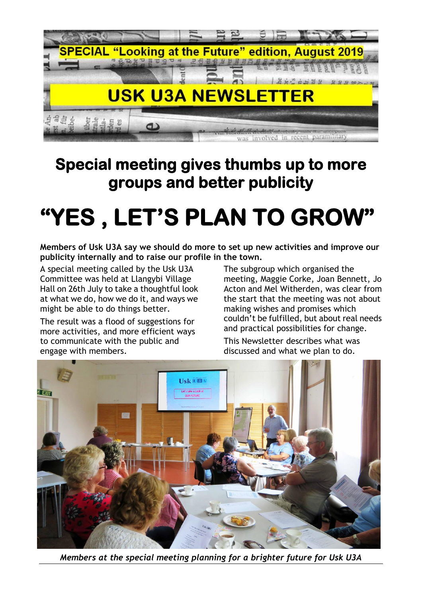

# **Special meeting gives thumbs up to more groups and better publicity**

# **"YES , LET'S PLAN TO GROW"**

**Members of Usk U3A say we should do more to set up new activities and improve our publicity internally and to raise our profile in the town.**

A special meeting called by the Usk U3A Committee was held at Llangybi Village Hall on 26th July to take a thoughtful look at what we do, how we do it, and ways we might be able to do things better.

The result was a flood of suggestions for more activities, and more efficient ways to communicate with the public and engage with members.

The subgroup which organised the meeting, Maggie Corke, Joan Bennett, Jo Acton and Mel Witherden, was clear from the start that the meeting was not about making wishes and promises which couldn't be fulfilled, but about real needs and practical possibilities for change.

This Newsletter describes what was discussed and what we plan to do.



*Members at the special meeting planning for a brighter future for Usk U3A*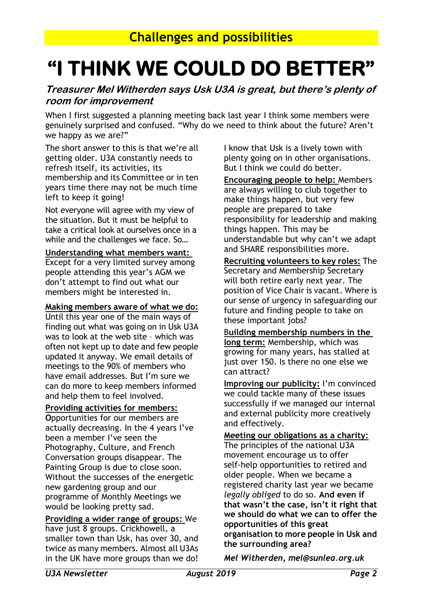# **"I THINK WE COULD DO BETTER"**

#### **Treasurer Mel Witherden says Usk U3A is great, but there's plenty of room for improvement**

When I first suggested a planning meeting back last year I think some members were genuinely surprised and confused. "Why do we need to think about the future? Aren't we happy as we are?"

The short answer to this is that we're all getting older. U3A constantly needs to refresh itself, its activities, its membership and its Committee or in ten years time there may not be much time left to keep it going!

Not everyone will agree with my view of the situation. But it must be helpful to take a critical look at ourselves once in a while and the challenges we face. So…

#### **Understanding what members want:**

Except for a very limited survey among people attending this year's AGM we don't attempt to find out what our members might be interested in.

#### **Making members aware of what we do:**

Until this year one of the main ways of finding out what was going on in Usk U3A was to look at the web site – which was often not kept up to date and few people updated it anyway. We email details of meetings to the 90% of members who have email addresses. But I'm sure we can do more to keep members informed and help them to feel involved.

#### **Providing activities for members:**

**O**pportunities for our members are actually decreasing. In the 4 years I've been a member I've seen the Photography, Culture, and French Conversation groups disappear. The Painting Group is due to close soon. Without the successes of the energetic new gardening group and our programme of Monthly Meetings we would be looking pretty sad.

### **Providing a wider range of groups:** We

have just 8 groups. Crickhowell, a smaller town than Usk, has over 30, and twice as many members. Almost all U3As in the UK have more groups than we do!

I know that Usk is a lively town with plenty going on in other organisations. But I think we could do better.

**Encouraging people to help:** Members are always willing to club together to make things happen, but very few people are prepared to take responsibility for leadership and making things happen. This may be understandable but why can't we adapt and SHARE responsibilities more.

#### **Recruiting volunteers to key roles:** The

Secretary and Membership Secretary will both retire early next year. The position of Vice Chair is vacant. Where is our sense of urgency in safeguarding our future and finding people to take on these important jobs?

#### B**uilding membership numbers in the long term:** Membership, which was growing for many years, has stalled at just over 150. Is there no one else we can attract?

**Improving our publicity:** I'm convinced we could tackle many of these issues successfully if we managed our internal and external publicity more creatively and effectively.

#### **Meeting our obligations as a charity:**

The principles of the national U3A movement encourage us to offer self-help opportunities to retired and older people. When we became a registered charity last year we became *legally obliged* to do so. **And even if that wasn't the case, isn't it right that we should do what we can to offer the opportunities of this great organisation to more people in Usk and the surrounding area?**

*Mel Witherden, mel@sunlea.org.uk*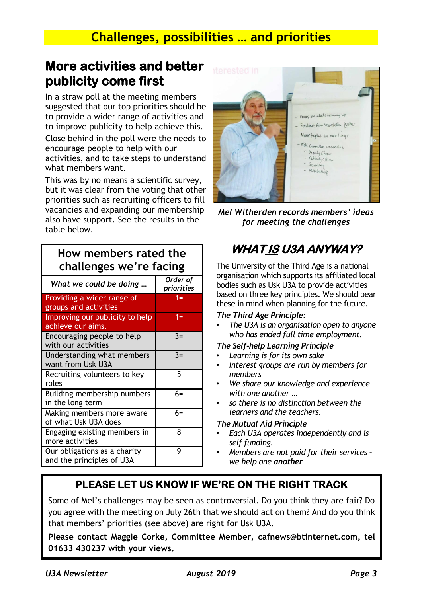# **Challenges, possibilities … and priorities**

# **More activities and better publicity come first**

In a straw poll at the meeting members suggested that our top priorities should be to provide a wider range of activities and to improve publicity to help achieve this.

Close behind in the poll were the needs to encourage people to help with our activities, and to take steps to understand what members want.

This was by no means a scientific survey, but it was clear from the voting that other priorities such as recruiting officers to fill vacancies and expanding our membership also have support. See the results in the table below.

### **How members rated the challenges we're facing**

| What we could be doing                                    | Order of<br>priorities |
|-----------------------------------------------------------|------------------------|
| Providing a wider range of<br>groups and activities       | 1=                     |
| Improving our publicity to help<br>achieve our aims.      | $1 =$                  |
| Encouraging people to help<br>with our activities         | $3=$                   |
| Understanding what members<br>want from Usk U3A           | $3=$                   |
| Recruiting volunteers to key<br>roles                     | 5                      |
| Building membership numbers<br>in the long term           | $6=$                   |
| Making members more aware<br>of what Usk U3A does         | $6=$                   |
| Engaging existing members in<br>more activities           | 8                      |
| Our obligations as a charity<br>and the principles of U3A | 9                      |



*Mel Witherden records members' ideas for meeting the challenges*

# **WHAT IS U3A ANYWAY?**

 The University of the Third Age is a national  bodies such as Usk U3A to provide activities these in mind when planning for the future.<br>  $\begin{bmatrix} -i & -i \\ 0 & -i \end{bmatrix}$ organisation which supports its affiliated local based on three key principles. We should bear

#### *The Third Age Principle:*

• *The U3A is an organisation open to anyone who has ended full time employment.*

# *The Self-help Learning Principle*

- *Learning is for its own sake*
- *Interest groups are run by members for members*
- *We share our knowledge and experience with one another …*
- *so there is no distinction between the learners and the teachers.*

#### *The Mutual Aid Principle*

- *Each U3A operates independently and is self funding.*
- *Members are not paid for their services – we help one another*

### **PLEASE LET US KNOW IF WE'RE ON THE RIGHT TRACK**

Some of Mel's challenges may be seen as controversial. Do you think they are fair? Do you agree with the meeting on July 26th that we should act on them? And do you think that members' priorities (see above) are right for Usk U3A.

**Please contact Maggie Corke, Committee Member, [cafnews@btinternet.com,](mailto:cafnews@btinternet.com) tel 01633 430237 with your views.**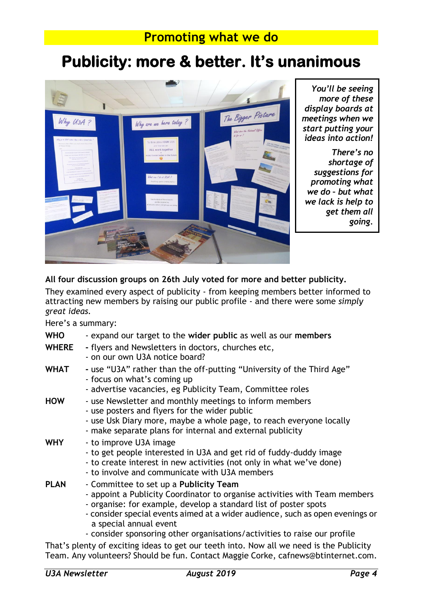## **Promoting what we do**

# **Publicity: more & better. It's unanimous**



*You'll be seeing more of these display boards at meetings when we start putting your ideas into action!*

*There's no shortage of suggestions for promoting what we do – but what we lack is help to get them all going.* 

#### **All four discussion groups on 26th July voted for more and better publicity.**

They examined every aspect of publicity - from keeping members better informed to attracting new members by raising our public profile - and there were some *simply great ideas.*

Here's a summary:

| <b>WHO</b><br><b>WHERE</b> | - expand our target to the wider public as well as our members<br>- flyers and Newsletters in doctors, churches etc,<br>- on our own U3A notice board?                                                                                                                                                                                                                           |
|----------------------------|----------------------------------------------------------------------------------------------------------------------------------------------------------------------------------------------------------------------------------------------------------------------------------------------------------------------------------------------------------------------------------|
| <b>WHAT</b>                | - use "U3A" rather than the off-putting "University of the Third Age"<br>- focus on what's coming up<br>- advertise vacancies, eg Publicity Team, Committee roles                                                                                                                                                                                                                |
| <b>HOW</b>                 | - use Newsletter and monthly meetings to inform members<br>- use posters and flyers for the wider public<br>- use Usk Diary more, maybe a whole page, to reach everyone locally<br>- make separate plans for internal and external publicity                                                                                                                                     |
| <b>WHY</b>                 | - to improve U3A image<br>- to get people interested in U3A and get rid of fuddy-duddy image<br>- to create interest in new activities (not only in what we've done)<br>- to involve and communicate with U3A members                                                                                                                                                            |
| <b>PLAN</b>                | - Committee to set up a Publicity Team<br>- appoint a Publicity Coordinator to organise activities with Team members<br>- organise: for example, develop a standard list of poster spots<br>- consider special events aimed at a wider audience, such as open evenings or<br>a special annual event<br>- consider sponsoring other organisations/activities to raise our profile |

That's plenty of exciting ideas to get our teeth into. Now all we need is the Publicity Team. Any volunteers? Should be fun. Contact Maggie Corke, [cafnews@btinternet.com.](mailto:cafnews@btinternet.com)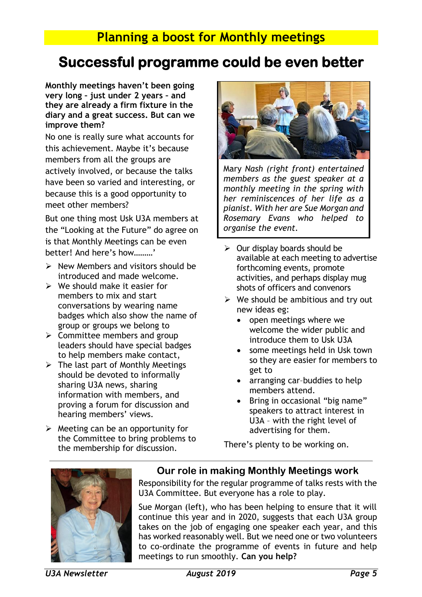# **Successful programme could be even better**

**Monthly meetings haven't been going very long – just under 2 years – and they are already a firm fixture in the diary and a great success. But can we improve them?**

No one is really sure what accounts for this achievement. Maybe it's because members from all the groups are actively involved, or because the talks have been so varied and interesting, or because this is a good opportunity to meet other members?

But one thing most Usk U3A members at the "Looking at the Future" do agree on is that Monthly Meetings can be even better! And here's how………'

- $\triangleright$  New Members and visitors should be introduced and made welcome.
- $\triangleright$  We should make it easier for members to mix and start conversations by wearing name badges which also show the name of group or groups we belong to
- $\triangleright$  Committee members and group leaders should have special badges to help members make contact,
- $\triangleright$  The last part of Monthly Meetings should be devoted to informally sharing U3A news, sharing information with members, and proving a forum for discussion and hearing members' views.
- $\triangleright$  Meeting can be an opportunity for the Committee to bring problems to the membership for discussion.



Mary *Nash (right front) entertained members as the guest speaker at a monthly meeting in the spring with her reminiscences of her life as a pianist. With her are Sue Morgan and Rosemary Evans who helped to organise the event.*

- $\triangleright$  Our display boards should be available at each meeting to advertise forthcoming events, promote activities, and perhaps display mug shots of officers and convenors
- $\triangleright$  We should be ambitious and try out new ideas eg:
	- open meetings where we welcome the wider public and introduce them to Usk U3A
	- some meetings held in Usk town so they are easier for members to get to
	- arranging car-buddies to help members attend.
	- Bring in occasional "big name" speakers to attract interest in U3A – with the right level of advertising for them.

There's plenty to be working on.



### **Our role in making Monthly Meetings work**

Responsibility for the regular programme of talks rests with the U3A Committee. But everyone has a role to play.

Sue Morgan (left), who has been helping to ensure that it will continue this year and in 2020, suggests that each U3A group takes on the job of engaging one speaker each year, and this has worked reasonably well. But we need one or two volunteers to co-ordinate the programme of events in future and help meetings to run smoothly. **Can you help?**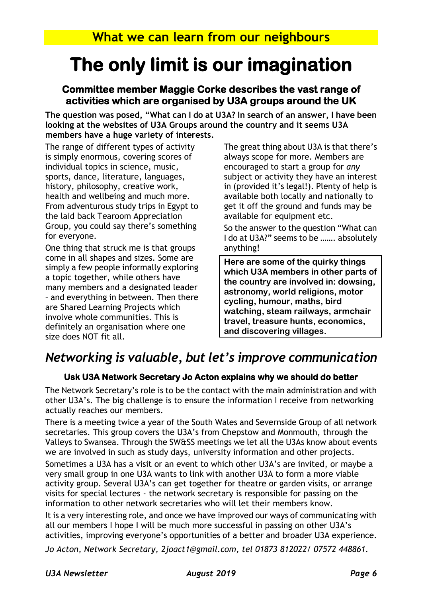# **The only limit is our imagination**

#### **Committee member Maggie Corke describes the vast range of activities which are organised by U3A groups around the UK**

**The question was posed, "What can I do at U3A? In search of an answer, I have been looking at the websites of U3A Groups around the country and it seems U3A members have a huge variety of interests.** 

The range of different types of activity is simply enormous, covering scores of individual topics in science, music, sports, dance, literature, languages, history, philosophy, creative work, health and wellbeing and much more. From adventurous study trips in Egypt to the laid back Tearoom Appreciation Group, you could say there's something for everyone.

One thing that struck me is that groups come in all shapes and sizes. Some are simply a few people informally exploring a topic together, while others have many members and a designated leader – and everything in between. Then there are Shared Learning Projects which involve whole communities. This is definitely an organisation where one size does NOT fit all.

The great thing about U3A is that there's always scope for more. Members are encouraged to start a group for *any* subject or activity they have an interest in (provided it's legal!). Plenty of help is available both locally and nationally to get it off the ground and funds may be available for equipment etc.

So the answer to the question "What can I do at U3A?" seems to be ……. absolutely anything!

**Here are some of the quirky things which U3A members in other parts of the country are involved in: dowsing, astronomy, world religions, motor cycling, humour, maths, bird watching, steam railways, armchair travel, treasure hunts, economics, and discovering villages.**

# *Networking is valuable, but let's improve communication*

#### **Usk U3A Network Secretary Jo Acton explains why we should do better**

The Network Secretary's role is to be the contact with the main administration and with other U3A's. The big challenge is to ensure the information I receive from networking actually reaches our members.

There is a meeting twice a year of the South Wales and Severnside Group of all network secretaries. This group covers the U3A's from Chepstow and Monmouth, through the Valleys to Swansea. Through the SW&SS meetings we let all the U3As know about events we are involved in such as study days, university information and other projects.

Sometimes a U3A has a visit or an event to which other U3A's are invited, or maybe a very small group in one U3A wants to link with another U3A to form a more viable activity group. Several U3A's can get together for theatre or garden visits, or arrange visits for special lectures - the network secretary is responsible for passing on the information to other network secretaries who will let their members know.

It is a very interesting role, and once we have improved our ways of communicating with all our members I hope I will be much more successful in passing on other U3A's activities, improving everyone's opportunities of a better and broader U3A experience.

*Jo Acton, Network Secretary, [2joact1@gmail.com,](mailto:2joact1@gmail.com) tel 01873 812022/ 07572 448861.*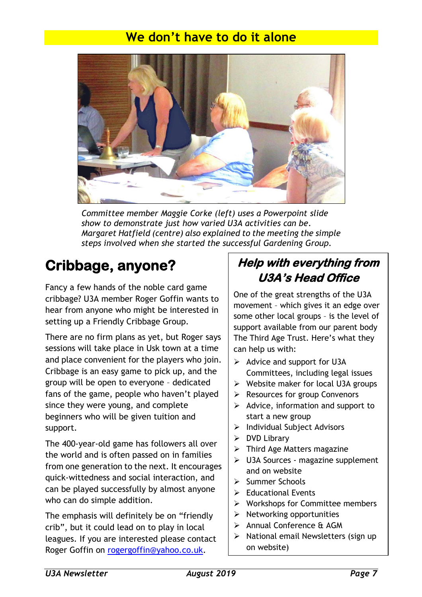## **We don't have to do it alone**



*Committee member Maggie Corke (left) uses a Powerpoint slide show to demonstrate just how varied U3A activities can be. Margaret Hatfield (centre) also explained to the meeting the simple steps involved when she started the successful Gardening Group.*

# **Cribbage, anyone?**

Fancy a few hands of the noble card game cribbage? U3A member Roger Goffin wants to hear from anyone who might be interested in setting up a Friendly Cribbage Group.

There are no firm plans as yet, but Roger says sessions will take place in Usk town at a time and place convenient for the players who join. Cribbage is an easy game to pick up, and the group will be open to everyone – dedicated fans of the game, people who haven't played since they were young, and complete beginners who will be given tuition and support.

The 400-year-old game has followers all over the world and is often passed on in families from one generation to the next. It encourages quick-wittedness and social interaction, and can be played successfully by almost anyone who can do simple addition.

The emphasis will definitely be on "friendly crib", but it could lead on to play in local leagues. If you are interested please contact Roger Goffin on [rogergoffin@yahoo.co.uk.](mailto:rogergoffin@yahoo.co.uk)

# **Help with everything from U3A's Head Office**

One of the great strengths of the U3A movement – which gives it an edge over some other local groups – is the level of support available from our parent body The Third Age Trust. Here's what they can help us with:

- $\triangleright$  Advice and support for U3A Committees, including legal issues
- $\triangleright$  Website maker for local U3A groups
- $\triangleright$  Resources for group Convenors
- $\triangleright$  Advice, information and support to start a new group
- $\triangleright$  Individual Subject Advisors
- $\triangleright$  DVD Library
- $\triangleright$  Third Age Matters magazine
- $\triangleright$  U3A Sources magazine supplement and on website
- $\triangleright$  Summer Schools
- $\triangleright$  Educational Events
- $\triangleright$  Workshops for Committee members
- $\triangleright$  Networking opportunities
- > Annual Conference & AGM
- $\triangleright$  National email Newsletters (sign up on website)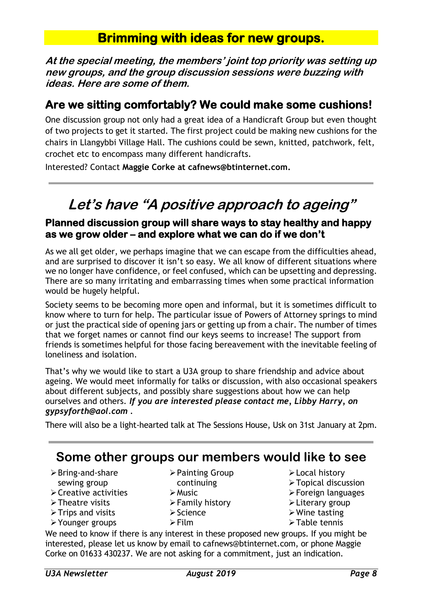## **Brimming with ideas for new groups.**

**At the special meeting, the members' joint top priority was setting up new groups, and the group discussion sessions were buzzing with ideas. Here are some of them.**

### **Are we sitting comfortably? We could make some cushions!**

One discussion group not only had a great idea of a Handicraft Group but even thought of two projects to get it started. The first project could be making new cushions for the chairs in Llangybbi Village Hall. The cushions could be sewn, knitted, patchwork, felt, crochet etc to encompass many different handicrafts.

Interested? Contact **Maggie Corke at [cafnews@btinternet.com.](mailto:cafnews@btinternet.com)**

# **Let's have "A positive approach to ageing"**

### **Planned discussion group will share ways to stay healthy and happy as we grow older – and explore what we can do if we don't**

As we all get older, we perhaps imagine that we can escape from the difficulties ahead, and are surprised to discover it isn't so easy. We all know of different situations where we no longer have confidence, or feel confused, which can be upsetting and depressing. There are so many irritating and embarrassing times when some practical information would be hugely helpful.

Society seems to be becoming more open and informal, but it is sometimes difficult to know where to turn for help. The particular issue of Powers of Attorney springs to mind or just the practical side of opening jars or getting up from a chair. The number of times that we forget names or cannot find our keys seems to increase! The support from friends is sometimes helpful for those facing bereavement with the inevitable feeling of loneliness and isolation.

That's why we would like to start a U3A group to share friendship and advice about ageing. We would meet informally for talks or discussion, with also occasional speakers about different subjects, and possibly share suggestions about how we can help ourselves and others. *If you are interested please contact me, Libby Harry, on gypsyforth@aol.com .*

There will also be a light-hearted talk at The Sessions House, Usk on 31st January at 2pm.

### **Some other groups our members would like to see**

- $\triangleright$  Bring-and-share
- sewing group
- Creative activities
- $\triangleright$  Theatre visits
- $\triangleright$  Trips and visits
- Younger groups
- Painting Group continuing
- $\triangleright$  Music
- $\triangleright$  Family history
- $\triangleright$  Science
- $\triangleright$  Film
- Local history
- Topical discussion
- Foreign languages
- Literary group
- $\triangleright$  Wine tasting
- Table tennis

We need to know if there is any interest in these proposed new groups. If you might be interested, please let us know by email to [cafnews@btinternet.com,](mailto:cafnews@btinternet.com) or phone Maggie Corke on 01633 430237. We are not asking for a commitment, just an indication.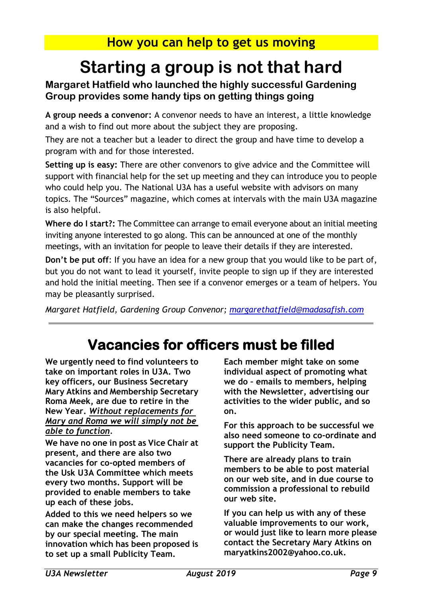# **Starting a group is not that hard**

### **Margaret Hatfield who launched the highly successful Gardening Group provides some handy tips on getting things going**

**A group needs a convenor:** A convenor needs to have an interest, a little knowledge and a wish to find out more about the subject they are proposing.

They are not a teacher but a leader to direct the group and have time to develop a program with and for those interested.

**Setting up is easy:** There are other convenors to give advice and the Committee will support with financial help for the set up meeting and they can introduce you to people who could help you. The National U3A has a useful website with advisors on many topics. The "Sources" magazine, which comes at intervals with the main U3A magazine is also helpful.

**Where do I start?:** The Committee can arrange to email everyone about an initial meeting inviting anyone interested to go along. This can be announced at one of the monthly meetings, with an invitation for people to leave their details if they are interested.

**Don't be put off**: If you have an idea for a new group that you would like to be part of, but you do not want to lead it yourself, invite people to sign up if they are interested and hold the initial meeting. Then see if a convenor emerges or a team of helpers. You may be pleasantly surprised.

*Margaret Hatfield, Gardening Group Convenor; [margarethatfield@madasafish.com](mailto:margarethatfield@madasafish.com)*

# **Vacancies for officers must be filled**

**We urgently need to find volunteers to take on important roles in U3A. Two key officers, our Business Secretary Mary Atkins and Membership Secretary Roma Meek, are due to retire in the New Year.** *Without replacements for Mary and Roma we will simply not be able to function.*

**We have no one in post as Vice Chair at present, and there are also two vacancies for co-opted members of the Usk U3A Committee which meets every two months. Support will be provided to enable members to take up each of these jobs.**

**Added to this we need helpers so we can make the changes recommended by our special meeting. The main innovation which has been proposed is to set up a small Publicity Team.** 

**Each member might take on some individual aspect of promoting what we do – emails to members, helping with the Newsletter, advertising our activities to the wider public, and so on.** 

**For this approach to be successful we also need someone to co-ordinate and support the Publicity Team.**

**There are already plans to train members to be able to post material on our web site, and in due course to commission a professional to rebuild our web site.** 

**If you can help us with any of these valuable improvements to our work, or would just like to learn more please contact the Secretary Mary Atkins on maryatkins2002@yahoo.co.uk.**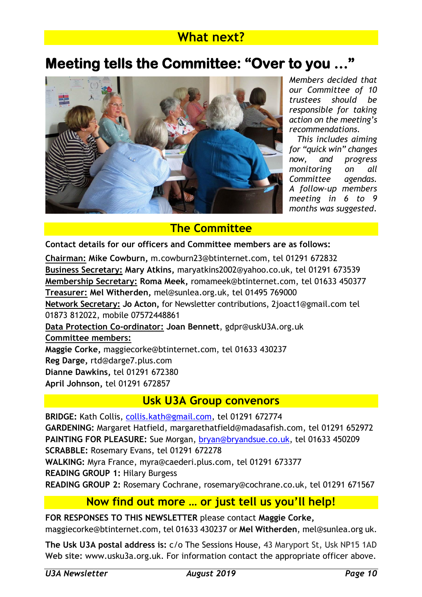### **What next?**

# **Meeting tells the Committee: "Over to you …"**



*Members decided that our Committee of 10 trustees should be responsible for taking action on the meeting's recommendations.*

 *This includes aiming for "quick win" changes now, and progress monitoring on all Committee agendas. A follow-up members meeting in 6 to 9 months was suggested.* 

### **The Committee**

**Contact details for our officers and Committee members are as follows:**

**Chairman: Mike Cowburn,** [m.cowburn23@btinternet.com,](mailto:m.cowburn23@btinternet.com) tel 01291 672832 **Business Secretary: Mary Atkins,** [maryatkins2002@yahoo.co.uk,](mailto:maryatkins2002@yahoo.co.uk) tel 01291 673539 **Membership Secretary: Roma Meek,** [romameek@btinternet.com,](mailto:romameek@btinternet.com) tel 01633 450377 **Treasurer: Mel Witherden,** mel@sunlea.org.uk, tel 01495 769000 **Network Secretary: Jo Acton,** for Newsletter contributions, [2joact1@gmail.com](mailto:2joact1@gmail.com) tel 01873 812022, mobile 07572448861 **Data Protection Co-ordinator: Joan Bennett**, gdpr@uskU3A.org.uk **Committee members: Maggie Corke,** maggiecorke@btinternet.com, tel 01633 430237 **Reg Darge,** [rtd@darge7.plus.com](mailto:rtd@darge7.plus.com) **Dianne Dawkins,** tel 01291 672380

**April Johnson,** tel 01291 672857

### **Usk U3A Group convenors**

**BRIDGE:** Kath Collis, [collis.kath@gmail.com,](mailto:collis.kath@gmail.com) tel 01291 672774 **GARDENING:** Margaret Hatfield, [margarethatfield@madasafish.com,](mailto:margarethatfield@madasafish.com) tel 01291 652972 **PAINTING FOR PLEASURE:** Sue Morgan, [bryan@bryandsue.co.uk,](mailto:bryan@bryandsue.co.uk) tel 01633 450209 **SCRABBLE:** Rosemary Evans, tel 01291 672278 **WALKING:** Myra France, [myra@caederi.plus.com,](mailto:myra@caederi.plus.com) tel 01291 673377 **READING GROUP 1:** Hilary Burgess **READING GROUP 2:** Rosemary Cochrane, [rosemary@cochrane.co.uk,](mailto:rosemary@cochrane.co.uk) tel 01291 671567

### **Now find out more … or just tell us you'll help!**

**FOR RESPONSES TO THIS NEWSLETTER** please contact **Maggie Corke,**  maggiecorke@btinternet.com, tel 01633 430237 or **Mel Witherden**, mel@sunlea.org uk.

**The Usk U3A postal address is:** c/o The Sessions House, 43 Maryport St, Usk NP15 1AD **Web site:** [www.usku3a.org.uk.](http://www.usku3a.org.uk/) For information contact the appropriate officer above.